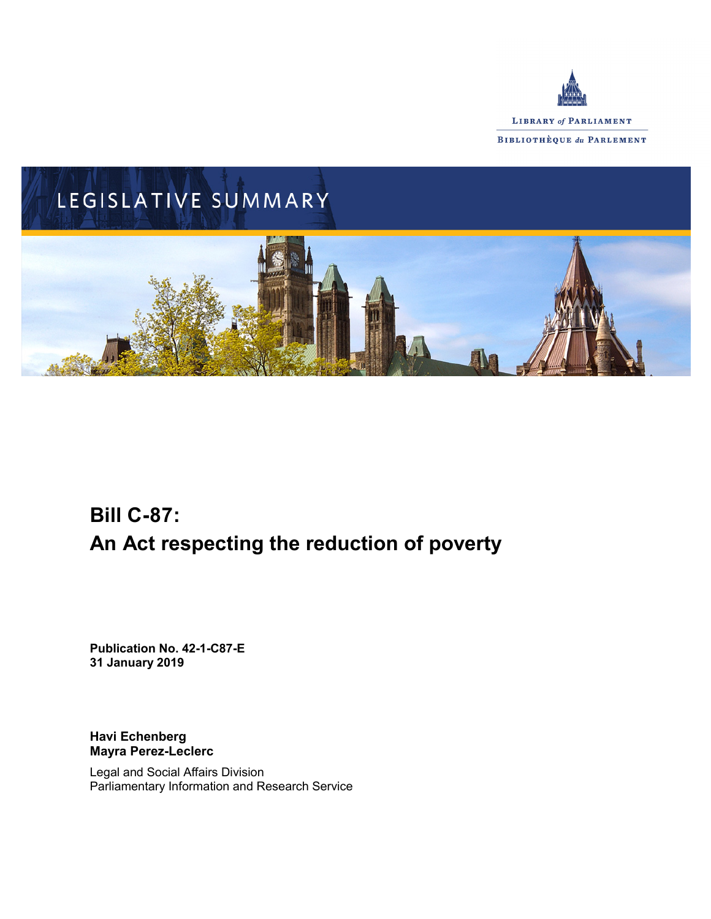



# **Bill C-87: An Act respecting the reduction of poverty**

**Publication No. 42-1-C87-E 31 January 2019**

**Havi Echenberg Mayra Perez-Leclerc**

Legal and Social Affairs Division Parliamentary Information and Research Service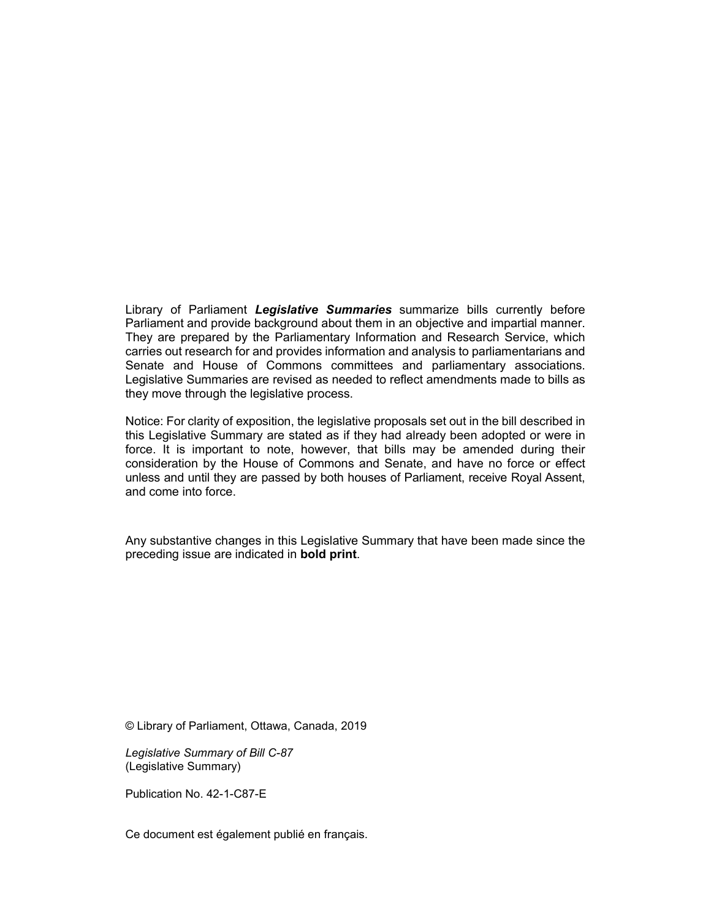Library of Parliament *Legislative Summaries* summarize bills currently before Parliament and provide background about them in an objective and impartial manner. They are prepared by the Parliamentary Information and Research Service, which carries out research for and provides information and analysis to parliamentarians and Senate and House of Commons committees and parliamentary associations. Legislative Summaries are revised as needed to reflect amendments made to bills as they move through the legislative process.

Notice: For clarity of exposition, the legislative proposals set out in the bill described in this Legislative Summary are stated as if they had already been adopted or were in force. It is important to note, however, that bills may be amended during their consideration by the House of Commons and Senate, and have no force or effect unless and until they are passed by both houses of Parliament, receive Royal Assent, and come into force.

Any substantive changes in this Legislative Summary that have been made since the preceding issue are indicated in **bold print**.

© Library of Parliament, Ottawa, Canada, 2019

*Legislative Summary of Bill C-87* (Legislative Summary)

Publication No. 42-1-C87-E

Ce document est également publié en français.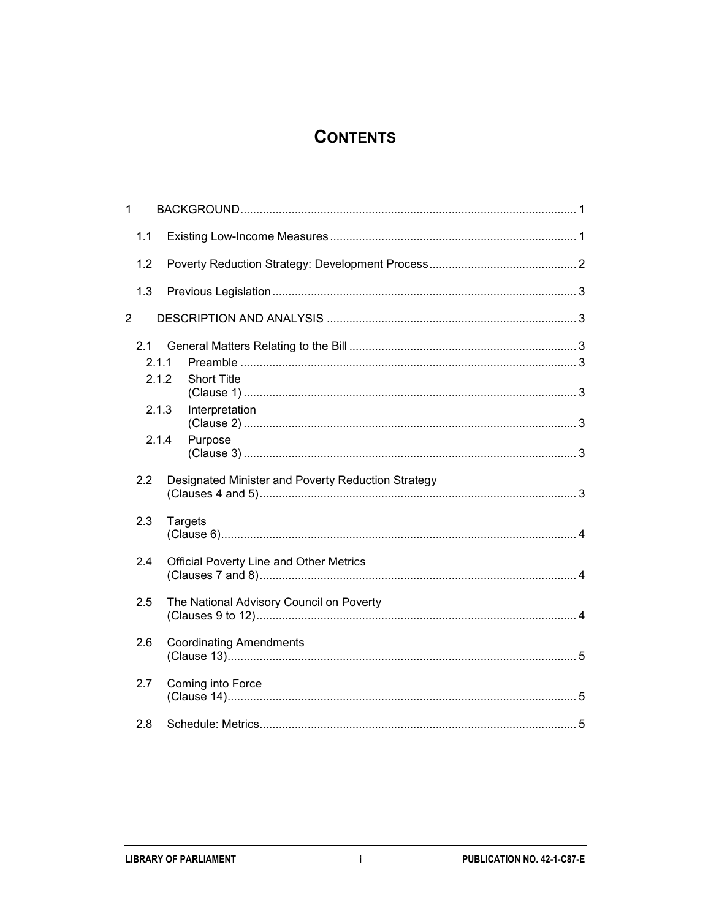# **CONTENTS**

| 1              |                       |                                                    |  |
|----------------|-----------------------|----------------------------------------------------|--|
|                | 1.1                   |                                                    |  |
|                | 1.2                   |                                                    |  |
|                | 1.3                   |                                                    |  |
| $\overline{c}$ |                       |                                                    |  |
|                | 2.1<br>2.1.1<br>2.1.2 | <b>Short Title</b>                                 |  |
|                |                       |                                                    |  |
|                | 2.1.3                 | Interpretation                                     |  |
|                | 2.1.4                 | Purpose                                            |  |
|                | 2.2                   | Designated Minister and Poverty Reduction Strategy |  |
|                | 2.3                   | <b>Targets</b>                                     |  |
|                | 2.4                   | <b>Official Poverty Line and Other Metrics</b>     |  |
|                | 2.5                   | The National Advisory Council on Poverty           |  |
|                | 2.6                   | <b>Coordinating Amendments</b>                     |  |
|                | 2.7                   | Coming into Force                                  |  |
|                | 2.8                   |                                                    |  |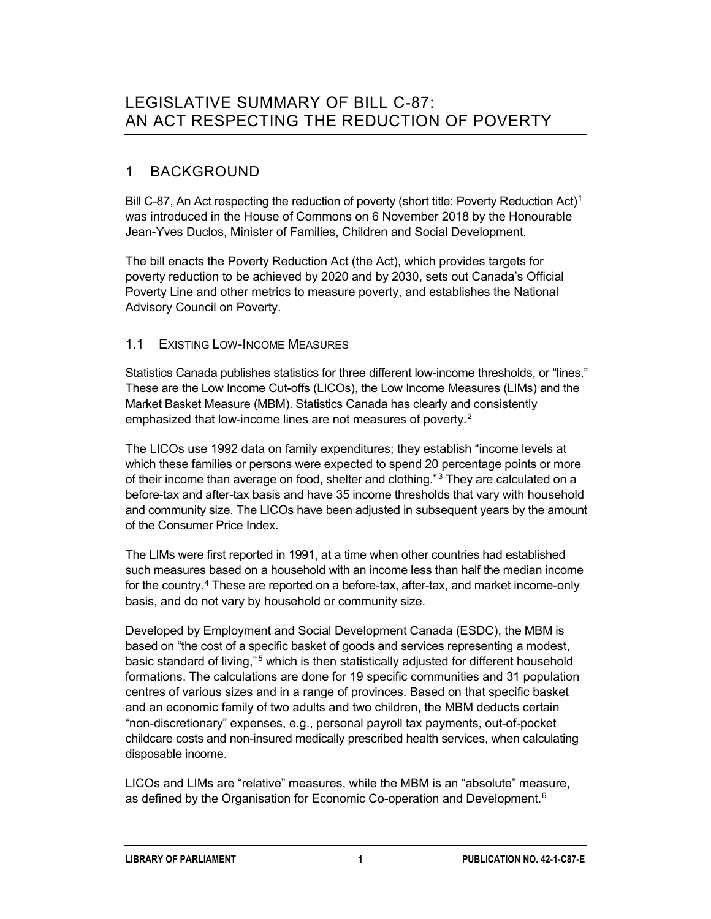## 1 BACKGROUND

Bill C-87, An Act respecting the reduction of poverty (short title: Poverty Reduction Act)<sup>[1](#page-8-0)</sup> was introduced in the House of Commons on 6 November 2018 by the Honourable Jean-Yves Duclos, Minister of Families, Children and Social Development.

The bill enacts the Poverty Reduction Act (the Act), which provides targets for poverty reduction to be achieved by 2020 and by 2030, sets out Canada's Official Poverty Line and other metrics to measure poverty, and establishes the National Advisory Council on Poverty.

### 1.1 EXISTING LOW-INCOME MEASURES

Statistics Canada publishes statistics for three different low-income thresholds, or "lines." These are the Low Income Cut-offs (LICOs), the Low Income Measures (LIMs) and the Market Basket Measure (MBM). Statistics Canada has clearly and consistently emphasized that low-income lines are not measures of poverty.<sup>[2](#page-9-0)</sup>

The LICOs use 1992 data on family expenditures; they establish "income levels at which these families or persons were expected to spend 20 percentage points or more of their income than average on food, shelter and clothing."<sup>[3](#page-9-1)</sup> They are calculated on a before-tax and after-tax basis and have 35 income thresholds that vary with household and community size. The LICOs have been adjusted in subsequent years by the amount of the Consumer Price Index.

The LIMs were first reported in 1991, at a time when other countries had established such measures based on a household with an income less than half the median income for the country.<sup>[4](#page-9-2)</sup> These are reported on a before-tax, after-tax, and market income-only basis, and do not vary by household or community size.

Developed by Employment and Social Development Canada (ESDC), the MBM is based on "the cost of a specific basket of goods and services representing a modest, basic standard of living,"<sup>[5](#page-9-3)</sup> which is then statistically adjusted for different household formations. The calculations are done for 19 specific communities and 31 population centres of various sizes and in a range of provinces. Based on that specific basket and an economic family of two adults and two children, the MBM deducts certain "non-discretionary" expenses, e.g., personal payroll tax payments, out-of-pocket childcare costs and non-insured medically prescribed health services, when calculating disposable income.

LICOs and LIMs are "relative" measures, while the MBM is an "absolute" measure, as defined by the Organisation for Economic Co-operation and Development. $^6$  $^6$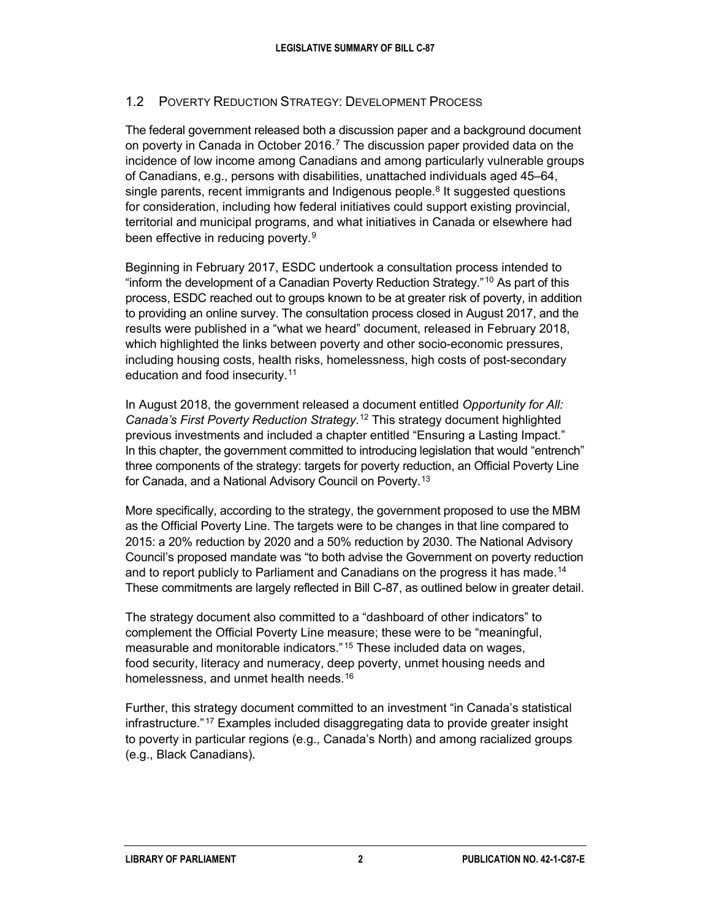### 1.2 POVERTY REDUCTION STRATEGY: DEVELOPMENT PROCESS

The federal government released both a discussion paper and a background document on poverty in Canada in October 2016.[7](#page-9-5) The discussion paper provided data on the incidence of low income among Canadians and among particularly vulnerable groups of Canadians, e.g., persons with disabilities, unattached individuals aged 45–64, single parents, recent immigrants and Indigenous people.<sup>[8](#page-9-6)</sup> It suggested questions for consideration, including how federal initiatives could support existing provincial, territorial and municipal programs, and what initiatives in Canada or elsewhere had been effective in reducing poverty.<sup>[9](#page-9-7)</sup>

Beginning in February 2017, ESDC undertook a consultation process intended to "inform the development of a Canadian Poverty Reduction Strategy."[10](#page-9-8) As part of this process, ESDC reached out to groups known to be at greater risk of poverty, in addition to providing an online survey. The consultation process closed in August 2017, and the results were published in a "what we heard" document, released in February 2018, which highlighted the links between poverty and other socio-economic pressures, including housing costs, health risks, homelessness, high costs of post-secondary education and food insecurity.[11](#page-9-9)

In August 2018, the government released a document entitled *Opportunity for All: Canada's First Poverty Reduction Strategy*. [12](#page-9-10) This strategy document highlighted previous investments and included a chapter entitled "Ensuring a Lasting Impact." In this chapter, the government committed to introducing legislation that would "entrench" three components of the strategy: targets for poverty reduction, an Official Poverty Line for Canada, and a National Advisory Council on Poverty.[13](#page-9-11)

More specifically, according to the strategy, the government proposed to use the MBM as the Official Poverty Line. The targets were to be changes in that line compared to 2015: a 20% reduction by 2020 and a 50% reduction by 2030. The National Advisory Council's proposed mandate was "to both advise the Government on poverty reduction and to report publicly to Parliament and Canadians on the progress it has made.<sup>[14](#page-9-12)</sup> These commitments are largely reflected in Bill C-87, as outlined below in greater detail.

The strategy document also committed to a "dashboard of other indicators" to complement the Official Poverty Line measure; these were to be "meaningful, measurable and monitorable indicators." [15](#page-9-13) These included data on wages, food security, literacy and numeracy, deep poverty, unmet housing needs and homelessness, and unmet health needs.<sup>[16](#page-9-14)</sup>

Further, this strategy document committed to an investment "in Canada's statistical infrastructure." [17](#page-9-15) Examples included disaggregating data to provide greater insight to poverty in particular regions (e.g., Canada's North) and among racialized groups (e.g., Black Canadians).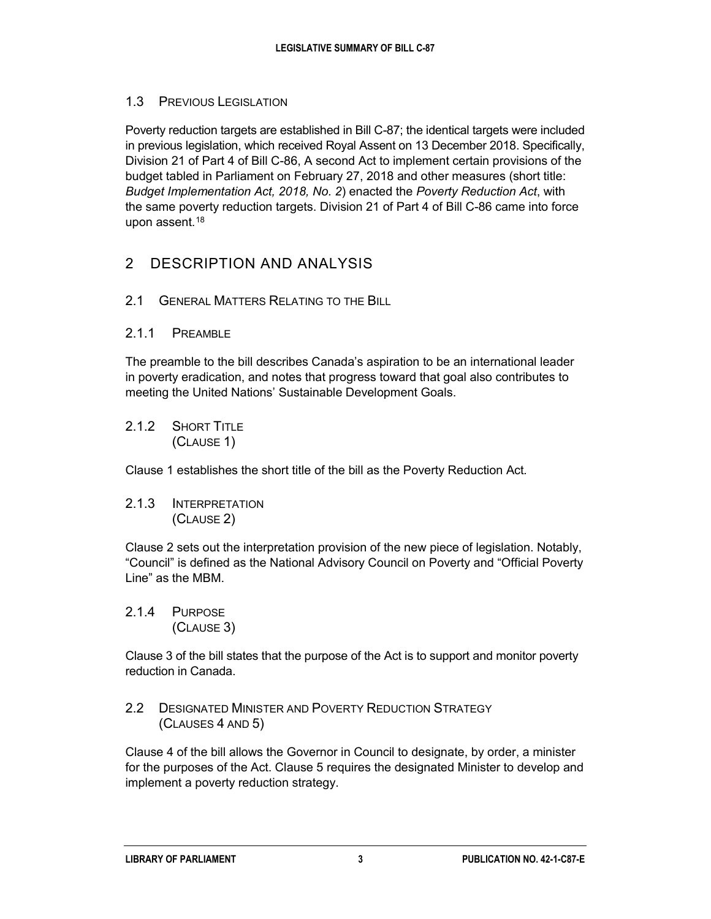### 1.3 PREVIOUS LEGISLATION

Poverty reduction targets are established in Bill C-87; the identical targets were included in previous legislation, which received Royal Assent on 13 December 2018. Specifically, Division 21 of Part 4 of Bill C-86, A second Act to implement certain provisions of the budget tabled in Parliament on February 27, 2018 and other measures (short title: *Budget Implementation Act, 2018, No. 2*) enacted the *Poverty Reduction Act*, with the same poverty reduction targets. Division 21 of Part 4 of Bill C-86 came into force upon assent.<sup>[18](#page-9-16)</sup>

## 2 DESCRIPTION AND ANALYSIS

- 2.1 GENERAL MATTERS RELATING TO THE BILL
- 2.1.1 PREAMBLE

The preamble to the bill describes Canada's aspiration to be an international leader in poverty eradication, and notes that progress toward that goal also contributes to meeting the United Nations' Sustainable Development Goals.

2.1.2 SHORT TITLE (CLAUSE 1)

Clause 1 establishes the short title of the bill as the Poverty Reduction Act*.*

2.1.3 INTERPRETATION (CLAUSE 2)

Clause 2 sets out the interpretation provision of the new piece of legislation. Notably, "Council" is defined as the National Advisory Council on Poverty and "Official Poverty Line" as the MBM.

2.1.4 PURPOSE (CLAUSE 3)

Clause 3 of the bill states that the purpose of the Act is to support and monitor poverty reduction in Canada.

2.2 DESIGNATED MINISTER AND POVERTY REDUCTION STRATEGY (CLAUSES 4 AND 5)

Clause 4 of the bill allows the Governor in Council to designate, by order, a minister for the purposes of the Act. Clause 5 requires the designated Minister to develop and implement a poverty reduction strategy.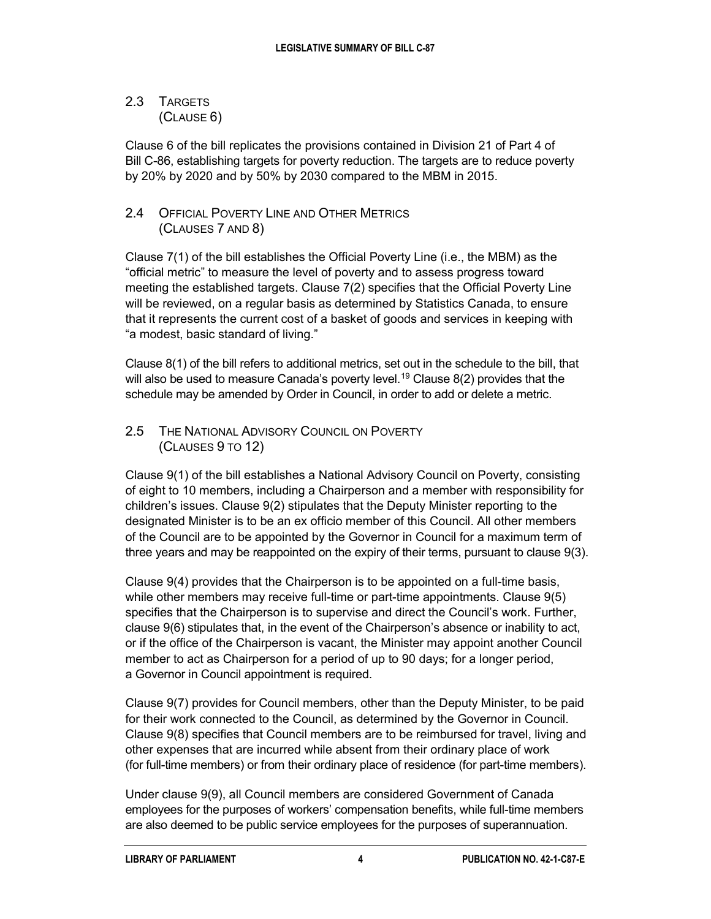### 2.3 TARGETS (CLAUSE 6)

Clause 6 of the bill replicates the provisions contained in Division 21 of Part 4 of Bill C-86, establishing targets for poverty reduction. The targets are to reduce poverty by 20% by 2020 and by 50% by 2030 compared to the MBM in 2015.

## 2.4 OFFICIAL POVERTY LINE AND OTHER METRICS (CLAUSES 7 AND 8)

Clause 7(1) of the bill establishes the Official Poverty Line (i.e., the MBM) as the "official metric" to measure the level of poverty and to assess progress toward meeting the established targets. Clause 7(2) specifies that the Official Poverty Line will be reviewed, on a regular basis as determined by Statistics Canada, to ensure that it represents the current cost of a basket of goods and services in keeping with "a modest, basic standard of living."

Clause 8(1) of the bill refers to additional metrics, set out in the schedule to the bill, that will also be used to measure Canada's poverty level.<sup>19</sup> Clause  $8(2)$  provides that the schedule may be amended by Order in Council, in order to add or delete a metric.

### 2.5 THE NATIONAL ADVISORY COUNCIL ON POVERTY (CLAUSES 9 TO 12)

Clause 9(1) of the bill establishes a National Advisory Council on Poverty, consisting of eight to 10 members, including a Chairperson and a member with responsibility for children's issues. Clause 9(2) stipulates that the Deputy Minister reporting to the designated Minister is to be an ex officio member of this Council. All other members of the Council are to be appointed by the Governor in Council for a maximum term of three years and may be reappointed on the expiry of their terms, pursuant to clause 9(3).

Clause 9(4) provides that the Chairperson is to be appointed on a full-time basis, while other members may receive full-time or part-time appointments. Clause 9(5) specifies that the Chairperson is to supervise and direct the Council's work. Further, clause 9(6) stipulates that, in the event of the Chairperson's absence or inability to act, or if the office of the Chairperson is vacant, the Minister may appoint another Council member to act as Chairperson for a period of up to 90 days; for a longer period, a Governor in Council appointment is required.

Clause 9(7) provides for Council members, other than the Deputy Minister, to be paid for their work connected to the Council, as determined by the Governor in Council. Clause 9(8) specifies that Council members are to be reimbursed for travel, living and other expenses that are incurred while absent from their ordinary place of work (for full-time members) or from their ordinary place of residence (for part-time members).

Under clause 9(9), all Council members are considered Government of Canada employees for the purposes of workers' compensation benefits, while full-time members are also deemed to be public service employees for the purposes of superannuation.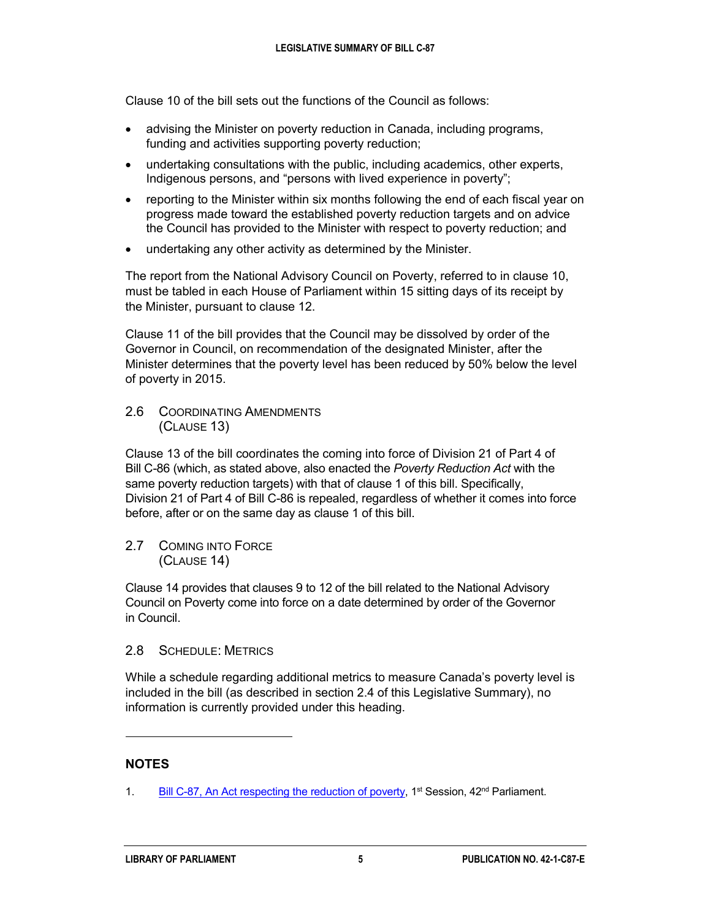Clause 10 of the bill sets out the functions of the Council as follows:

- advising the Minister on poverty reduction in Canada, including programs, funding and activities supporting poverty reduction;
- undertaking consultations with the public, including academics, other experts, Indigenous persons, and "persons with lived experience in poverty";
- reporting to the Minister within six months following the end of each fiscal year on progress made toward the established poverty reduction targets and on advice the Council has provided to the Minister with respect to poverty reduction; and
- undertaking any other activity as determined by the Minister.

The report from the National Advisory Council on Poverty, referred to in clause 10, must be tabled in each House of Parliament within 15 sitting days of its receipt by the Minister, pursuant to clause 12.

Clause 11 of the bill provides that the Council may be dissolved by order of the Governor in Council, on recommendation of the designated Minister, after the Minister determines that the poverty level has been reduced by 50% below the level of poverty in 2015.

#### 2.6 COORDINATING AMENDMENTS (CLAUSE 13)

Clause 13 of the bill coordinates the coming into force of Division 21 of Part 4 of Bill C-86 (which, as stated above, also enacted the *Poverty Reduction Act* with the same poverty reduction targets) with that of clause 1 of this bill. Specifically, Division 21 of Part 4 of Bill C-86 is repealed, regardless of whether it comes into force before, after or on the same day as clause 1 of this bill.

2.7 COMING INTO FORCE (CLAUSE 14)

Clause 14 provides that clauses 9 to 12 of the bill related to the National Advisory Council on Poverty come into force on a date determined by order of the Governor in Council.

#### 2.8 SCHEDULE: METRICS

While a schedule regarding additional metrics to measure Canada's poverty level is included in the bill (as described in section 2.4 of this Legislative Summary), no information is currently provided under this heading.

### **NOTES**

 $\ddot{ }$ 

<span id="page-8-0"></span><sup>1.</sup> [Bill C-87, An Act respecting the reduction of poverty,](http://www.parl.ca/LegisInfo/BillDetails.aspx?Language=E&billId=10152656) 1<sup>st</sup> Session, 42<sup>nd</sup> Parliament.